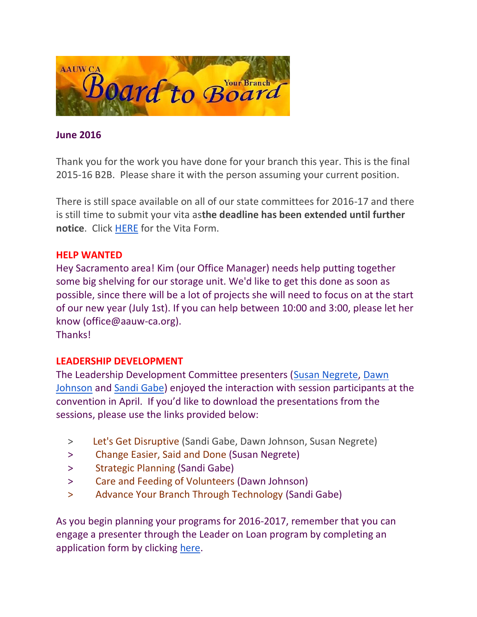

# **June 2016**

Thank you for the work you have done for your branch this year. This is the final 2015-16 B2B. Please share it with the person assuming your current position.

There is still space available on all of our state committees for 2016-17 and there is still time to submit your vita as**the deadline has been extended until further notice**. Click [HERE](http://www.aauw-ca.org/Assets/resources/AAUWCACommitteeVitaForm.pdf) for the Vita Form.

### **HELP WANTED**

Hey Sacramento area! Kim (our Office Manager) needs help putting together some big shelving for our storage unit. We'd like to get this done as soon as possible, since there will be a lot of projects she will need to focus on at the start of our new year (July 1st). If you can help between 10:00 and 3:00, please let her know (office@aauw-ca.org).

Thanks!

## **LEADERSHIP DEVELOPMENT**

The Leadership Development Committee presenters [\(Susan Negrete,](mailto:susimone@aol.com) [Dawn](mailto:dawnandjay@gmail.com)  [Johnson](mailto:dawnandjay@gmail.com) and [Sandi Gabe\)](mailto:sandi.gabe@hotmail.com) enjoyed the interaction with session participants at the convention in April. If you'd like to download the presentations from the sessions, please use the links provided below:

- > [Let's Get Disruptive](http://www.aauw-ca.org/Assets/resources/Lets_Get_Disruptive_2016.pdf) (Sandi Gabe, Dawn Johnson, Susan Negrete)
- > [Change Easier, Said and Done](http://www.aauw-ca.org/Assets/resources/Change_Easier_Said_Than_Done_2016.pdf) (Susan Negrete)
- > [Strategic Planning](http://www.aauw-ca.org/Assets/resources/Strategic_Planning_2016.pdf) (Sandi Gabe)
- > [Care and Feeding of Volunteers](http://www.aauw-ca.org/Assets/resources/Leadership_Workshop_Volunteers_2016.pdf) (Dawn Johnson)
- > [Advance Your Branch Through Technology](http://www.aauw-ca.org/Assets/resources/Advance_Your_Branch_Through_Technology_2016.pdf) (Sandi Gabe)

As you begin planning your programs for 2016-2017, remember that you can engage a presenter through the Leader on Loan program by completing an application form by clicking [here.](https://www.surveymonkey.com/r/R9G76KG)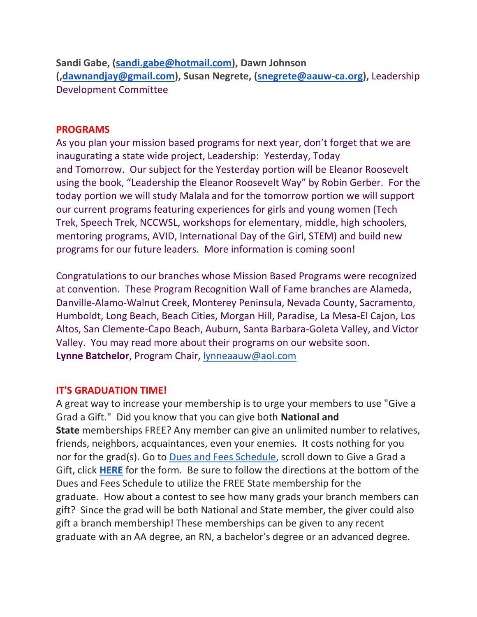**Sandi Gabe, [\(sandi.gabe@hotmail.com\)](mailto:sandi.gabe@hotmail.com), Dawn Johnson ([,dawnandjay@gmail.com\)](mailto:dawnandjay@gmail.com), Susan Negrete, [\(snegrete@aauw-ca.org\)](mailto:snegrete@aauw-ca.org),** Leadership Development Committee

### **PROGRAMS**

As you plan your mission based programs for next year, don't forget that we are inaugurating a state wide project, Leadership: Yesterday, Today and Tomorrow. Our subject for the Yesterday portion will be Eleanor Roosevelt using the book, "Leadership the Eleanor Roosevelt Way" by Robin Gerber. For the today portion we will study Malala and for the tomorrow portion we will support our current programs featuring experiences for girls and young women (Tech Trek, Speech Trek, NCCWSL, workshops for elementary, middle, high schoolers, mentoring programs, AVID, International Day of the Girl, STEM) and build new programs for our future leaders. More information is coming soon!

Congratulations to our branches whose Mission Based Programs were recognized at convention. These Program Recognition Wall of Fame branches are Alameda, Danville-Alamo-Walnut Creek, Monterey Peninsula, Nevada County, Sacramento, Humboldt, Long Beach, Beach Cities, Morgan Hill, Paradise, La Mesa-El Cajon, Los Altos, San Clemente-Capo Beach, Auburn, Santa Barbara-Goleta Valley, and Victor Valley. You may read more about their programs on our website soon. **Lynne Batchelor**, Program Chair, [lynneaauw@aol.com](mailto:lynneaauw@aol.com)

## **IT'S GRADUATION TIME!**

A great way to increase your membership is to urge your members to use "Give a Grad a Gift." Did you know that you can give both **National and State** memberships FREE? Any member can give an unlimited number to relatives, friends, neighbors, acquaintances, even your enemies. It costs nothing for you nor for the grad(s). Go to [Dues and Fees Schedule,](http://aauw-ca.org/index.cfm?go=pages.view&parent=414&pagesid=414) scroll down to Give a Grad a Gift, click **[HERE](https://ww2.aauw.org/grad-gift/)** for the form. Be sure to follow the directions at the bottom of the Dues and Fees Schedule to utilize the FREE State membership for the graduate. How about a contest to see how many grads your branch members can gift? Since the grad will be both National and State member, the giver could also gift a branch membership! These memberships can be given to any recent graduate with an AA degree, an RN, a bachelor's degree or an advanced degree.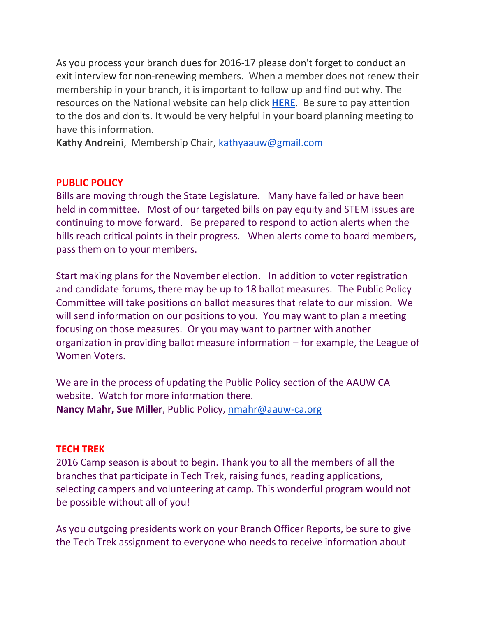As you process your branch dues for 2016-17 please don't forget to conduct an exit interview for non-renewing members. When a member does not renew their membership in your branch, it is important to follow up and find out why. The resources on the National website can help click **[HERE](http://www.aauw.org/resource/exit-interview/)**. Be sure to pay attention to the dos and don'ts. It would be very helpful in your board planning meeting to have this information.

**Kathy Andreini**, Membership Chair, [kathyaauw@gmail.com](mailto:kathyaauw@gmail.com)

## **PUBLIC POLICY**

Bills are moving through the State Legislature. Many have failed or have been held in committee. Most of our targeted bills on pay equity and STEM issues are continuing to move forward. Be prepared to respond to action alerts when the bills reach critical points in their progress. When alerts come to board members, pass them on to your members.

Start making plans for the November election. In addition to voter registration and candidate forums, there may be up to 18 ballot measures. The Public Policy Committee will take positions on ballot measures that relate to our mission. We will send information on our positions to you. You may want to plan a meeting focusing on those measures. Or you may want to partner with another organization in providing ballot measure information – for example, the League of Women Voters.

We are in the process of updating the Public Policy section of the AAUW CA website. Watch for more information there. **Nancy Mahr, Sue Miller**, Public Policy, [nmahr@aauw-ca.org](mailto:nmahr@aauw-ca.org)

## **TECH TREK**

2016 Camp season is about to begin. Thank you to all the members of all the branches that participate in Tech Trek, raising funds, reading applications, selecting campers and volunteering at camp. This wonderful program would not be possible without all of you!

As you outgoing presidents work on your Branch Officer Reports, be sure to give the Tech Trek assignment to everyone who needs to receive information about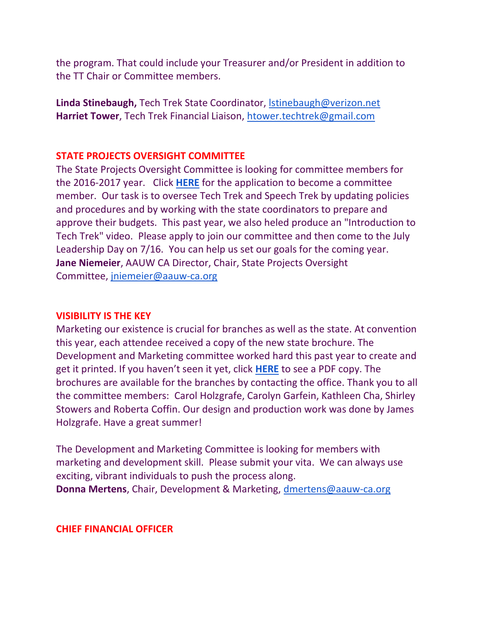the program. That could include your Treasurer and/or President in addition to the TT Chair or Committee members.

**Linda Stinebaugh,** Tech Trek State Coordinator, [lstinebaugh@verizon.net](mailto:lstinebaugh@verizon.net) **Harriet Tower**, Tech Trek Financial Liaison, [htower.techtrek@gmail.com](mailto:htower.techtrek@gmail.com)

### **STATE PROJECTS OVERSIGHT COMMITTEE**

The State Projects Oversight Committee is looking for committee members for the 2016-2017 year. Click **[HERE](http://www.aauw-ca.org/Assets/resources/AAUWCACommitteeVitaForm.pdf)** for the application to become a committee member. Our task is to oversee Tech Trek and Speech Trek by updating policies and procedures and by working with the state coordinators to prepare and approve their budgets. This past year, we also heled produce an "Introduction to Tech Trek" video. Please apply to join our committee and then come to the July Leadership Day on 7/16. You can help us set our goals for the coming year. **Jane Niemeier**, AAUW CA Director, Chair, State Projects Oversight Committee, [jniemeier@aauw-ca.org](mailto:jniemeier@aauw-ca.org)

#### **VISIBILITY IS THE KEY**

Marketing our existence is crucial for branches as well as the state. At convention this year, each attendee received a copy of the new state brochure. The Development and Marketing committee worked hard this past year to create and get it printed. If you haven't seen it yet, click **[HERE](http://www.aauw-ca.org/Assets/resources/StateBrochure.pdf)** to see a PDF copy. The brochures are available for the branches by contacting the office. Thank you to all the committee members: Carol Holzgrafe, Carolyn Garfein, Kathleen Cha, Shirley Stowers and Roberta Coffin. Our design and production work was done by James Holzgrafe. Have a great summer!

The Development and Marketing Committee is looking for members with marketing and development skill. Please submit your vita. We can always use exciting, vibrant individuals to push the process along. **Donna Mertens**, Chair, Development & Marketing, [dmertens@aauw-ca.org](mailto:dmertens@aauw-ca.org)

#### **CHIEF FINANCIAL OFFICER**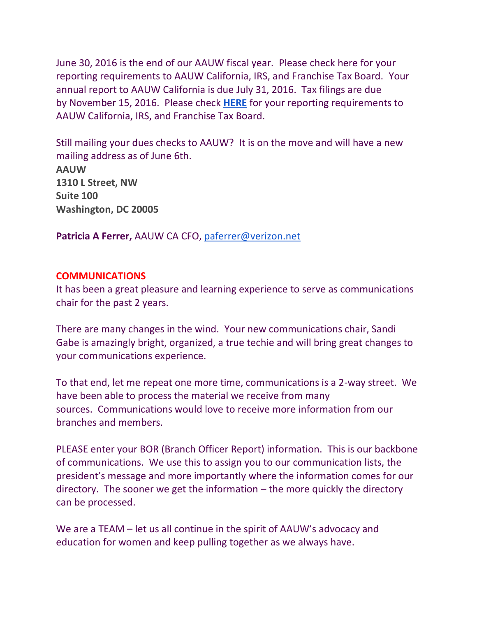June 30, 2016 is the end of our AAUW fiscal year. Please check here for your reporting requirements to AAUW California, IRS, and Franchise Tax Board. Your annual report to AAUW California is due July 31, 2016. Tax filings are due by November 15, 2016. Please check **[HERE](http://aauw-ca.org/index.cfm?go=pages.view&pagesid=453&parent=332&coparent=453)** for your reporting requirements to AAUW California, IRS, and Franchise Tax Board.

Still mailing your dues checks to AAUW? It is on the move and will have a new mailing address as of June 6th. **AAUW**

**1310 L Street, NW Suite 100 Washington, DC 20005**

**Patricia A Ferrer,** AAUW CA CFO, [paferrer@verizon.net](mailto:paferrer@verizon.net)

## **COMMUNICATIONS**

It has been a great pleasure and learning experience to serve as communications chair for the past 2 years.

There are many changes in the wind. Your new communications chair, Sandi Gabe is amazingly bright, organized, a true techie and will bring great changes to your communications experience.

To that end, let me repeat one more time, communications is a 2-way street. We have been able to process the material we receive from many sources. Communications would love to receive more information from our branches and members.

PLEASE enter your BOR (Branch Officer Report) information. This is our backbone of communications. We use this to assign you to our communication lists, the president's message and more importantly where the information comes for our directory. The sooner we get the information – the more quickly the directory can be processed.

We are a TEAM – let us all continue in the spirit of AAUW's advocacy and education for women and keep pulling together as we always have.